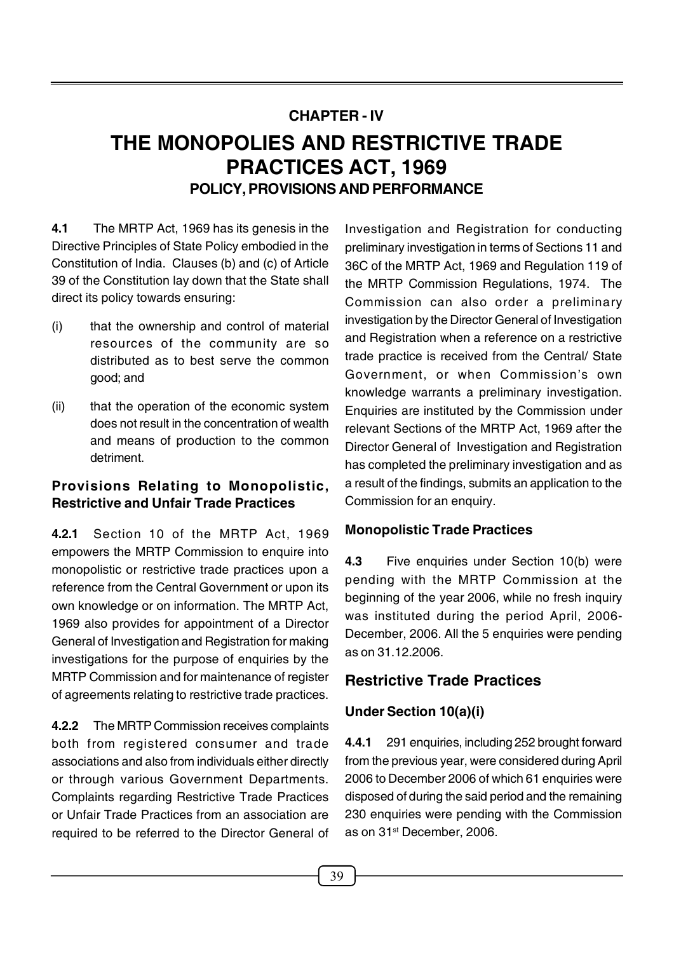## **CHAPTER - IV THE MONOPOLIES AND RESTRICTIVE TRADE PRACTICES ACT, 1969 POLICY,PROVISIONS AND PERFORMANCE**

**4.1** The MRTP Act, 1969 has its genesis in the Directive Principles of State Policy embodied in the Constitution of India. Clauses (b) and (c) of Article 39 of the Constitution lay down that the State shall direct its policy towards ensuring:

- (i) that the ownership and control of material resources of the community are so distributed as to best serve the common good; and
- (ii) that the operation of the economic system does not result in the concentration of wealth and means of production to the common detriment.

# **Provisions Relating to Monopolistic, Restrictive and Unfair Trade Practices**

**4.2.1** Section 10 of the MRTP Act, 1969 empowers the MRTP Commission to enquire into<br>4.3 monopolistic or restrictive trade practices upon a reference from the Central Government or upon its own knowledge or on information. The MRTP Act, 1969 also provides for appointment of a Director General of Investigation and Registration for making investigations for the purpose of enquiries by the MRTP Commission and for maintenance of register of agreements relating to restrictive trade practices.

**4.2.2** The MRTP Commission receives complaints both from registered consumer and trade 4.4.1 associations and also from individuals either directly or through various Government Departments. Complaints regarding Restrictive Trade Practices or Unfair Trade Practices from an association are required to be referred to the Director General of

Investigation and Registration for conducting preliminary investigation in terms of Sections 11 and 36C of the MRTP Act, 1969 and Regulation 119 of the MRTP Commission Regulations, 1974. The Commission can also order a preliminary investigation by the Director General of Investigation and Registration when a reference on a restrictive trade practice is received from the Central/ State Government, or when Commission's own knowledge warrants a preliminary investigation. Enquiries are instituted by the Commission under relevant Sections of the MRTP Act, 1969 after the Director General of Investigation and Registration has completed the preliminary investigation and as a result of the findings, submits an application to the Commission for an enquiry.

## **Monopolistic Trade Practices**

Five enquiries under Section 10(b) were pending with the MRTP Commission at the beginning of the year 2006, while no fresh inquiry was instituted during the period April, 2006- December, 2006. All the 5 enquiries were pending as on 31.12.2006.

## **Restrictive Trade Practices**

## **Under Section 10(a)(i)**

**4.4.1** 291 enquiries, including 252 brought forward from the previous year, were considered during April 2006 to December 2006 of which 61 enquiries were disposed of during the said period and the remaining 230 enquiries were pending with the Commission as on 31 st December, 2006.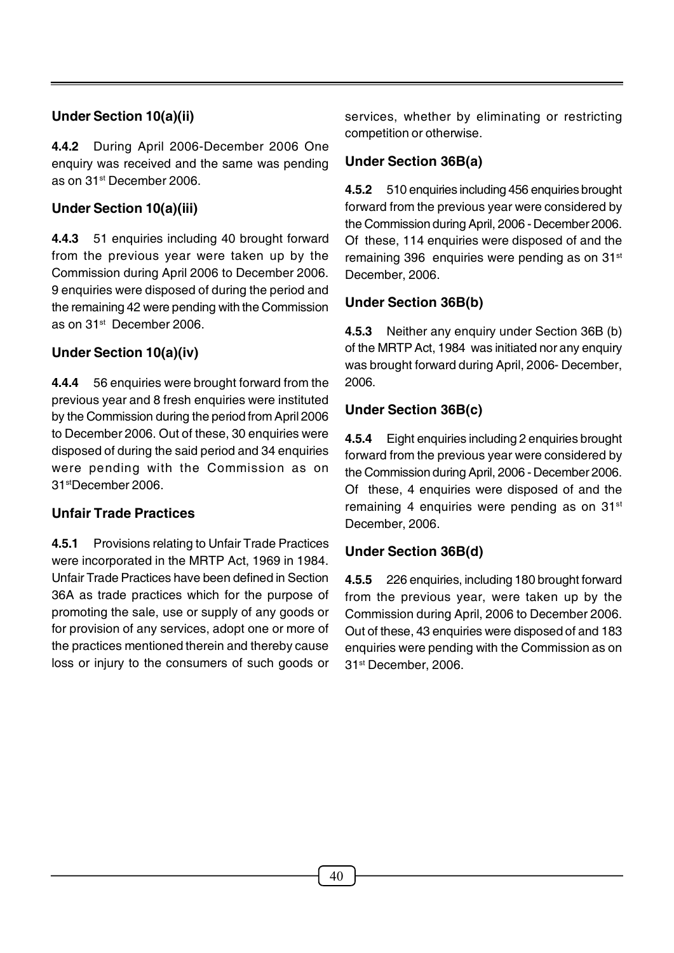## **Under Section 10(a)(ii)**

**4.4.2** During April 2006-December 2006 One enquiry was received and the same was pending as on 31<sup>st</sup> December 2006.

## **Under Section 10(a)(iii)**

**4.4.3** 51 enquiries including 40 brought forward from the previous year were taken up by the Commission during April 2006 to December 2006. 9 enquiries were disposed of during the period and the remaining 42 were pending with the Commission as on 31<sup>st</sup> December 2006.

## **Under Section 10(a)(iv)**

**4.4.4** 56 enquiries were brought forward from the previous year and 8 fresh enquiries were instituted by the Commission during the period from April 2006 to December 2006. Out of these, 30 enquiries were disposed of during the said period and 34 enquiries were pending with the Commission as on the Commission during April, 2006 - December 2006. 31 stDecember 2006.

## **Unfair Trade Practices**

**4.5.1** Provisions relating to Unfair Trade Practices were incorporated in the MRTP Act, 1969 in 1984.<br>Unfair Trade Practices have been defined in Section 36A as trade practices which for the purpose of promoting the sale, use or supply of any goods or for provision of any services, adopt one or more of the practices mentioned therein and thereby cause loss or injury to the consumers of such goods or

services, whether by eliminating or restricting competition or otherwise.

## **Under Section 36B(a)**

**4.5.2** 510 enquiries including 456 enquiries brought forward from the previous year were considered by the Commission during April, <sup>2006</sup> - December 2006. Of these, 114 enquiries were disposed of and the remaining 396 enquiries were pending as on 31<sup>st</sup> December, 2006.

## **Under Section 36B(b)**

**4.5.3** Neither any enquiry under Section 36B (b) of the MRTP Act, 1984 was initiated nor any enquiry was brought forward during April, 2006- December,

## **Under Section 36B(c)**

**4.5.4** Eight enquiries including 2 enquiries brought forward from the previous year were considered by Of these, 4 enquiries were disposed of and the remaining 4 enquiries were pending as on 31 st December, 2006.

## **Under Section 36B(d)**

**4.5.5** 226 enquiries, including 180 brought forward from the previous year, were taken up by the Commission during April, 2006 to December 2006. Out of these, <sup>43</sup> enquiries were disposed of and <sup>183</sup> enquiries were pending with the Commission as on 31 st December, 2006.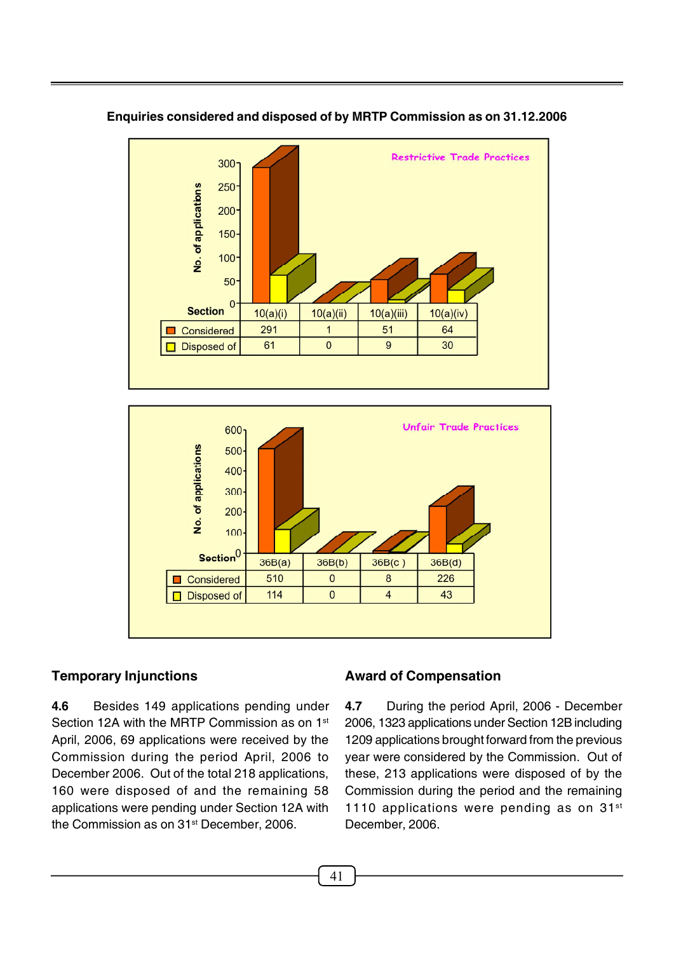

#### **Enquiries considered and disposed of by MRTP Commission as on 31.12.2006**



#### **Temporary Injunctions**

**4.6** Besides 149 applications pending under Section 12A with the MRTP Commission as on 1<sup>st</sup> April, 2006, 69 applications were received by the Commission during the period April, 2006 to December 2006. Out of the total 218 applications, 160 were disposed of and the remaining 58 applications were pending under Section 12A with the Commission as on 31st December, 2006.

#### **Award of Compensation**

**4.7** During the period April, 2006 - December 2006, 1323 applications under Section 12B including 1209 applications brought forward from the previous year were considered by the Commission. Out of these, 213 applications were disposed of by the Commission during the period and the remaining 1110 applications were pending as on 31<sup>st</sup> December, 2006.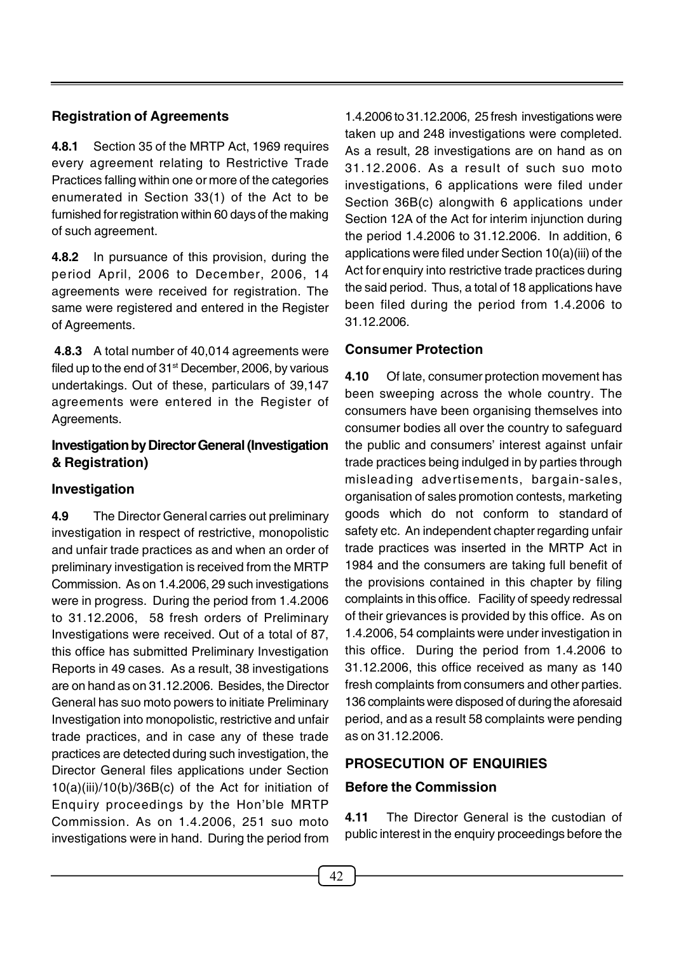## **Registration of Agreements**

**4.8.1** Section 35 of the MRTP Act, 1969 requires every agreement relating to Restrictive Trade Practices falling within one or more of the categories enumerated in Section 33(1) of the Act to be furnished for registration within 60 days of the making of such agreement.

**4.8.2** In pursuance of this provision, during the period April, 2006 to December, 2006, 14 agreements were received for registration. The same were registered and entered in the Register of Agreements.

**4.8.3** A total number of 40,014 agreements were filed up to the end of 31st December, 2006, by various undertakings. Out of these, particulars of 39,147 4.10 agreements were entered in the Register of Agreements.

## **Investigation by Director General (Investigation & Registration)**

## **Investigation**

**4.9** The Director General carries out preliminary investigation in respect of restrictive, monopolistic and unfair trade practices as and when an order of preliminary investigation is received from the MRTP Commission. As on 1.4.2006, 29 such investigations were in progress. During the period from 1.4.2006 to 31.12.2006, 58 fresh orders of Preliminary Investigations were received. Out of a total of 87, this office has submitted Preliminary Investigation Reports in 49 cases. As a result, 38 investigations are on hand as on 31.12.2006. Besides, the Director General has suo moto powers to initiate Preliminary Investigation into monopolistic, restrictive and unfair trade practices, and in case any of these trade practices are detected during such investigation, the Director General files applications under Section 10(a)(iii)/10(b)/36B(c) of the Act for initiation of Enquiry proceedings by the Hon'ble MRTP<br>Commission As an  $1.4,2006, 251$  aug mate 4.11 Commission. As on 1.4.2006, 251 suo moto investigations were in hand. During the period from

1.4.2006 to 31.12.2006, 25 fresh investigations were taken up and <sup>248</sup> investigations were completed. As a result, 28 investigations are on hand as on 31.12.2006. As a result of such suo moto investigations, 6 applications were filed under Section 36B(c) alongwith 6 applications under Section 12A of the Act for interim injunction during the period 1.4.2006 to 31.12.2006. In addition, 6 applications were filed under Section 10(a)(iii) of the Act for enquiry into restrictive trade practices during the said period. Thus, a total of 18 applications have been filed during the period from 1.4.2006 to 31.12.2006.

### **Consumer Protection**

**4.10** Of late, consumer protection movement has been sweeping across the whole country. The consumers have been organising themselves into consumer bodies all over the country to safeguard the public and consumers' interest against unfair trade practices being indulged in by parties through misleading advertisements, bargain-sales, organisation of sales promotion contests, marketing goods which do not conform to standard of safety etc. An independent chapter regarding unfair trade practices was inserted in the MRTP Act in 1984 and the consumers are taking full benefit of the provisions contained in this chapter by filing complaints in this office. Facility of speedy redressal of their grievances is provided by this office. As on 1.4.2006, 54 complaints were under investigation in this office. During the period from 1.4.2006 to 31.12.2006, this office received as many as 140 fresh complaints from consumers and other parties. 136 complaints were disposed of during the aforesaid period, and as a result 58 complaints were pending as on 31.12.2006.

## **PROSECUTION OF ENQUIRIES**

## **Before the Commission**

**4.11** The Director General is the custodian of public interest in the enquiry proceedings before the